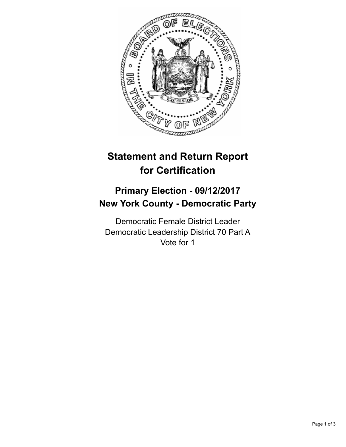

## **Statement and Return Report for Certification**

## **Primary Election - 09/12/2017 New York County - Democratic Party**

Democratic Female District Leader Democratic Leadership District 70 Part A Vote for 1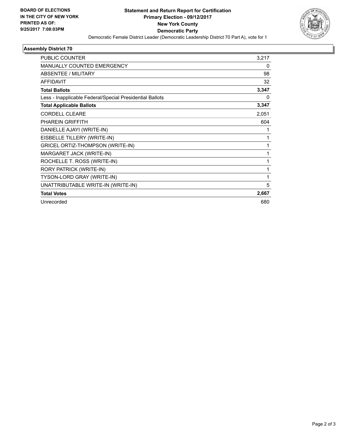

## **Assembly District 70**

| <b>PUBLIC COUNTER</b>                                    | 3,217 |
|----------------------------------------------------------|-------|
| MANUALLY COUNTED EMERGENCY                               | 0     |
| <b>ABSENTEE / MILITARY</b>                               | 98    |
| <b>AFFIDAVIT</b>                                         | 32    |
| <b>Total Ballots</b>                                     | 3,347 |
| Less - Inapplicable Federal/Special Presidential Ballots | 0     |
| <b>Total Applicable Ballots</b>                          | 3,347 |
| <b>CORDELL CLEARE</b>                                    | 2,051 |
| <b>PHAREIN GRIFFITH</b>                                  | 604   |
| DANIELLE AJAYI (WRITE-IN)                                |       |
| EISBELLE TILLERY (WRITE-IN)                              | 1     |
| GRICEL ORTIZ-THOMPSON (WRITE-IN)                         | 1     |
| MARGARET JACK (WRITE-IN)                                 | 1     |
| ROCHELLE T. ROSS (WRITE-IN)                              | 1     |
| RORY PATRICK (WRITE-IN)                                  | 1     |
| TYSON-LORD GRAY (WRITE-IN)                               | 1     |
| UNATTRIBUTABLE WRITE-IN (WRITE-IN)                       | 5     |
| <b>Total Votes</b>                                       | 2,667 |
| Unrecorded                                               | 680   |
|                                                          |       |